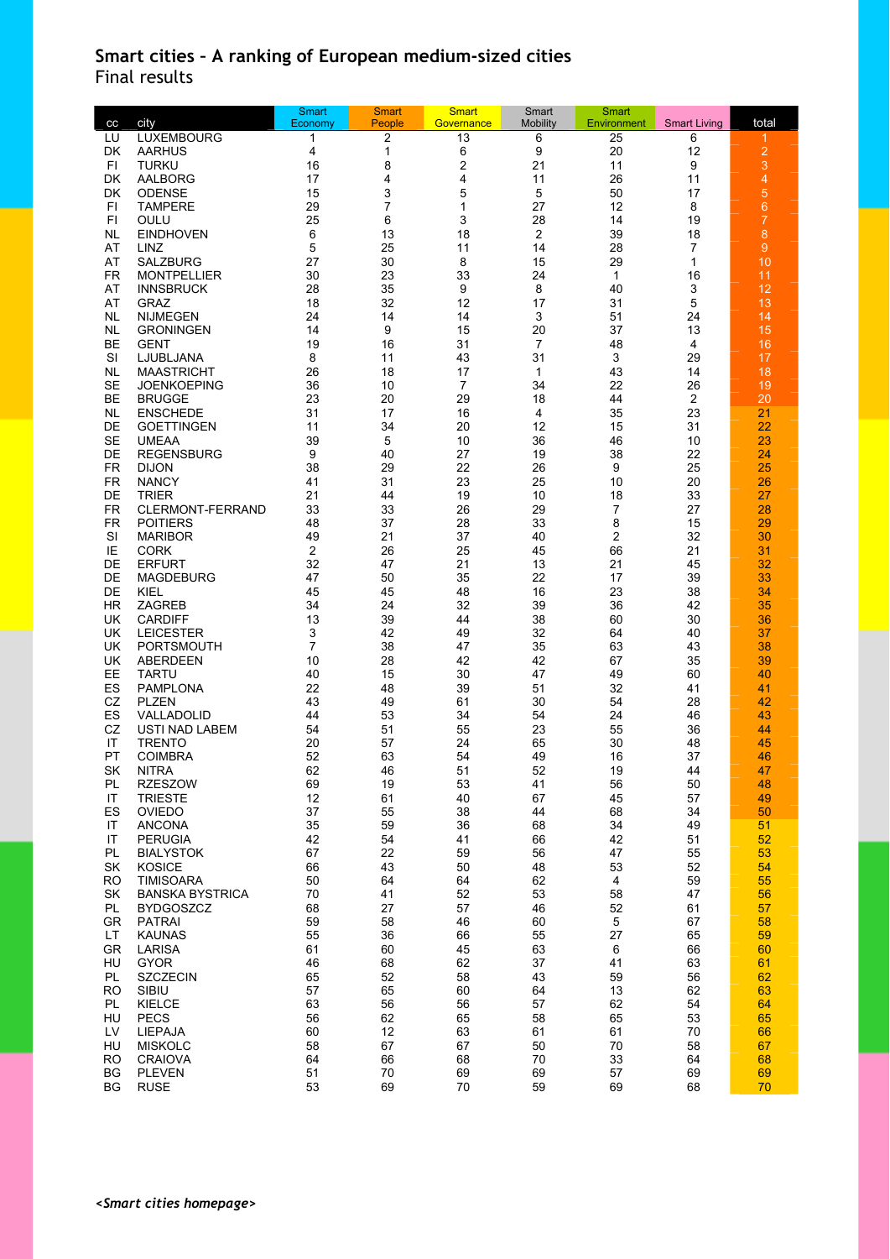## **Smart cities – A ranking of European medium-sized cities**  Final results

| cc                     | city                                       | <b>Smart</b><br>Economy | <b>Smart</b><br>People | <b>Smart</b><br>Governance | Smart<br><b>Mobility</b> | Smart<br><b>Environment</b> | <b>Smart Living</b> | total          |
|------------------------|--------------------------------------------|-------------------------|------------------------|----------------------------|--------------------------|-----------------------------|---------------------|----------------|
| LU                     | <b>LUXEMBOURG</b>                          | 1                       | 2                      | 13                         | 6                        | 25                          | 6                   | 1              |
| DK                     | <b>AARHUS</b>                              | 4                       | 1                      | 6                          | 9                        | 20                          | 12                  | $\overline{c}$ |
| FI                     | <b>TURKU</b>                               | 16                      | 8                      | 2                          | 21                       | 11                          | 9                   | 3              |
| DK                     | AALBORG                                    | 17                      | 4                      | 4                          | 11                       | 26                          | 11                  | 4              |
| DK                     | <b>ODENSE</b>                              | 15                      | 3                      | 5                          | 5                        | 50                          | 17                  | 5              |
| FI                     | <b>TAMPERE</b>                             | 29                      | 7                      | 1                          | 27                       | 12                          | 8                   | 6              |
| F1                     | OULU                                       | 25                      | 6                      | 3                          | 28                       | 14                          | 19                  | $\overline{7}$ |
| <b>NL</b>              | <b>EINDHOVEN</b>                           | 6                       | 13                     | 18                         | $\overline{c}$           | 39                          | 18                  | 8              |
| AT                     | LINZ                                       | 5                       | 25                     | 11                         | 14                       | 28                          | 7                   | $\overline{9}$ |
| AT                     | <b>SALZBURG</b>                            | 27<br>30                | 30                     | 8<br>33                    | 15                       | 29                          | 1<br>16             | 10             |
| FR.<br>AT              | <b>MONTPELLIER</b><br><b>INNSBRUCK</b>     | 28                      | 23<br>35               | 9                          | 24<br>8                  | 1<br>40                     | 3                   | 11<br>12       |
| AT                     | <b>GRAZ</b>                                | 18                      | 32                     | 12                         | 17                       | 31                          | 5                   | 13             |
| NL                     | <b>NIJMEGEN</b>                            | 24                      | 14                     | 14                         | 3                        | 51                          | 24                  | 14             |
| NL                     | <b>GRONINGEN</b>                           | 14                      | 9                      | 15                         | 20                       | 37                          | 13                  | 15             |
| <b>BE</b>              | <b>GENT</b>                                | 19                      | 16                     | 31                         | $\overline{7}$           | 48                          | 4                   | 16             |
| SI                     | LJUBLJANA                                  | 8                       | 11                     | 43                         | 31                       | 3                           | 29                  | 17             |
| NL                     | <b>MAASTRICHT</b>                          | 26                      | 18                     | 17                         | 1                        | 43                          | 14                  | 18             |
| <b>SE</b>              | <b>JOENKOEPING</b>                         | 36                      | 10                     | 7                          | 34                       | 22                          | 26                  | 19             |
| BЕ                     | <b>BRUGGE</b>                              | 23                      | 20                     | 29                         | 18                       | 44                          | 2                   | 20             |
| NL                     | <b>ENSCHEDE</b>                            | 31                      | 17                     | 16                         | 4                        | 35                          | 23                  | 21             |
| DE                     | <b>GOETTINGEN</b>                          | 11                      | 34                     | 20                         | 12                       | 15                          | 31                  | 22             |
| <b>SE</b>              | <b>UMEAA</b>                               | 39                      | 5                      | 10                         | 36                       | 46                          | 10                  | 23             |
| DE                     | <b>REGENSBURG</b>                          | 9                       | 40                     | 27                         | 19                       | 38                          | 22                  | 24             |
| <b>FR</b>              | <b>DIJON</b>                               | 38                      | 29                     | 22                         | 26                       | 9                           | 25                  | 25             |
| FR                     | <b>NANCY</b>                               | 41                      | 31                     | 23                         | 25                       | 10                          | 20                  | 26             |
| DE<br>FR.              | <b>TRIER</b><br><b>CLERMONT-FERRAND</b>    | 21<br>33                | 44<br>33               | 19<br>26                   | 10<br>29                 | 18<br>7                     | 33<br>27            | 27<br>28       |
| FR                     | <b>POITIERS</b>                            | 48                      | 37                     | 28                         | 33                       | 8                           | 15                  | 29             |
| SI                     | <b>MARIBOR</b>                             | 49                      | 21                     | 37                         | 40                       | 2                           | 32                  | 30             |
| IE                     | <b>CORK</b>                                | $\overline{2}$          | 26                     | 25                         | 45                       | 66                          | 21                  | 31             |
| DE                     | <b>ERFURT</b>                              | 32                      | 47                     | 21                         | 13                       | 21                          | 45                  | 32             |
| DE                     | MAGDEBURG                                  | 47                      | 50                     | 35                         | 22                       | 17                          | 39                  | 33             |
| DE                     | KIEL                                       | 45                      | 45                     | 48                         | 16                       | 23                          | 38                  | 34             |
| HR                     | ZAGREB                                     | 34                      | 24                     | 32                         | 39                       | 36                          | 42                  | 35             |
| UK                     | <b>CARDIFF</b>                             | 13                      | 39                     | 44                         | 38                       | 60                          | 30                  | 36             |
| UK                     | <b>LEICESTER</b>                           | 3                       | 42                     | 49                         | 32                       | 64                          | 40                  | 37             |
| UK                     | <b>PORTSMOUTH</b>                          | $\overline{7}$          | 38                     | 47                         | 35                       | 63                          | 43                  | 38             |
| UK                     | <b>ABERDEEN</b>                            | 10                      | 28                     | 42                         | 42                       | 67                          | 35                  | 39             |
| EE                     | TARTU                                      | 40                      | 15                     | 30                         | 47                       | 49                          | 60                  | 40             |
| ES<br>CZ               | <b>PAMPLONA</b><br><b>PLZEN</b>            | 22<br>43                | 48<br>49               | 39<br>61                   | 51<br>30                 | 32<br>54                    | 41<br>28            | 41<br>42       |
| ES                     | VALLADOLID                                 | 44                      | 53                     | 34                         | 54                       | 24                          | 46                  | 43             |
| CZ                     | <b>USTI NAD LABEM</b>                      | 54                      | 51                     | 55                         | 23                       | 55                          | 36                  | 44             |
| IT                     | <b>TRENTO</b>                              | 20                      | 57                     | 24                         | 65                       | 30                          | 48                  | 45             |
| PT                     | <b>COIMBRA</b>                             | 52                      | 63                     | 54                         | 49                       | 16                          | 37                  | 46             |
| SK                     | <b>NITRA</b>                               | 62                      | 46                     | 51                         | 52                       | 19                          | 44                  | 47             |
| PL                     | <b>RZESZOW</b>                             | 69                      | 19                     | 53                         | 41                       | 56                          | 50                  | 48             |
| IT                     | <b>TRIESTE</b>                             | 12                      | 61                     | 40                         | 67                       | 45                          | 57                  | 49             |
| ES                     | <b>OVIEDO</b>                              | 37                      | 55                     | 38                         | 44                       | 68                          | 34                  | 50             |
| IT                     | <b>ANCONA</b>                              | 35                      | 59                     | 36                         | 68                       | 34                          | 49                  | 51             |
| $\mathsf{I}\mathsf{T}$ | <b>PERUGIA</b>                             | 42                      | 54                     | 41                         | 66                       | 42                          | 51                  | 52             |
| PL                     | <b>BIALYSTOK</b>                           | 67                      | 22                     | 59                         | 56                       | 47                          | 55                  | 53             |
| SK                     | <b>KOSICE</b>                              | 66                      | 43                     | 50                         | 48                       | 53                          | 52                  | 54             |
| RO.<br>SK              | <b>TIMISOARA</b><br><b>BANSKA BYSTRICA</b> | 50<br>70                | 64<br>41               | 64<br>52                   | 62<br>53                 | 4<br>58                     | 59<br>47            | 55<br>56       |
| PL                     | <b>BYDGOSZCZ</b>                           | 68                      | 27                     | 57                         | 46                       | 52                          | 61                  | 57             |
| GR                     | <b>PATRAI</b>                              | 59                      | 58                     | 46                         | 60                       | 5                           | 67                  | 58             |
| LT.                    | <b>KAUNAS</b>                              | 55                      | 36                     | 66                         | 55                       | 27                          | 65                  | 59             |
| GR                     | LARISA                                     | 61                      | 60                     | 45                         | 63                       | 6                           | 66                  | 60             |
| HU                     | <b>GYOR</b>                                | 46                      | 68                     | 62                         | 37                       | 41                          | 63                  | 61             |
| PL                     | <b>SZCZECIN</b>                            | 65                      | 52                     | 58                         | 43                       | 59                          | 56                  | 62             |
| RO                     | SIBIU                                      | 57                      | 65                     | 60                         | 64                       | 13                          | 62                  | 63             |
| PL                     | <b>KIELCE</b>                              | 63                      | 56                     | 56                         | 57                       | 62                          | 54                  | 64             |
| HU                     | <b>PECS</b>                                | 56                      | 62                     | 65                         | 58                       | 65                          | 53                  | 65             |
| LV                     | LIEPAJA                                    | 60                      | 12                     | 63                         | 61                       | 61                          | 70                  | 66             |
| HU                     | <b>MISKOLC</b>                             | 58                      | 67                     | 67                         | 50                       | 70                          | 58                  | 67             |
| <b>RO</b>              | <b>CRAIOVA</b>                             | 64                      | 66                     | 68                         | 70                       | 33                          | 64                  | 68             |
| BG<br>ΒG               | <b>PLEVEN</b><br><b>RUSE</b>               | 51<br>53                | 70<br>69               | 69<br>70                   | 69<br>59                 | 57<br>69                    | 69<br>68            | 69<br>70       |
|                        |                                            |                         |                        |                            |                          |                             |                     |                |